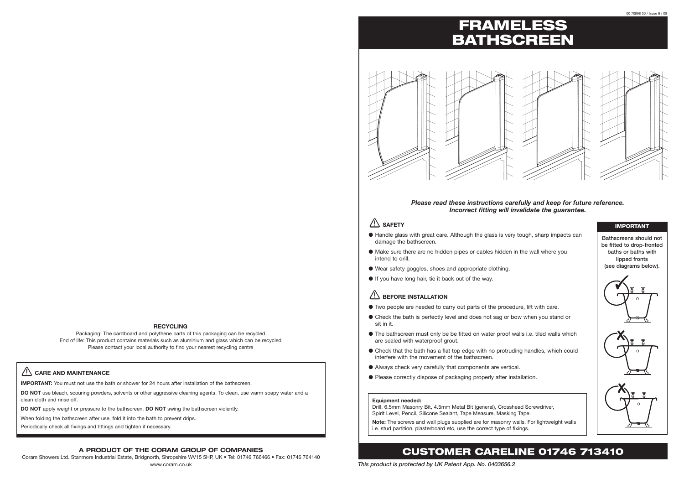*This product is protected by UK Patent App. No. 0403656.2*

#### **RECYCLING**

#### **Equipment needed:**

Drill, 6.5mm Masonry Bit, 4.5mm Metal Bit (general), Crosshead Screwdriver, Spirit Level, Pencil, Silicone Sealant, Tape Measure, Masking Tape.

**Note:** The screws and wall plugs supplied are for masonry walls. For lightweight walls i.e. stud partition, plasterboard etc, use the correct type of fixings.

- Handle glass with great care. Although the glass is very tough, sharp impacts can damage the bathscreen.
- Make sure there are no hidden pipes or cables hidden in the wall where you intend to drill.
- Wear safety goggles, shoes and appropriate clothing.
- ● If you have long hair, tie it back out of the way.

### **ZIN BEFORE INSTALLATION**

- Two people are needed to carry out parts of the procedure, lift with care.
- Check the bath is perfectly level and does not sag or bow when you stand or sit in it.
- The bathscreen must only be be fitted on water proof walls i.e. tiled walls which are sealed with waterproof grout.
- Check that the bath has a flat top edge with no protruding handles, which could interfere with the movement of the bathscreen.
- ● Always check very carefully that components are vertical.
- Please correctly dispose of packaging properly after installation.

# FRAMELESS BATHSCREEN



## CUSTOMER CARELINE 01746 713410

### *Please read these instructions carefully and keep for future reference. Incorrect fitting will invalidate the guarantee.*

### $\sqrt{N}$  SAFFTY

#### **A PRODUCT OF THE CORAM GROUP OF COMPANIES**

Coram Showers Ltd. Stanmore Industrial Estate, Bridgnorth, Shropshire WV15 5HP, UK • Tel: 01746 766466 • Fax: 01746 764140 www.coram.co.uk

### **CARE AND MAINTENANCE**

**IMPORTANT:** You must not use the bath or shower for 24 hours after installation of the bathscreen.

**DO NOT** use bleach, scouring powders, solvents or other aggressive cleaning agents. To clean, use warm soapy water and a clean cloth and rinse off.

**DO NOT** apply weight or pressure to the bathscreen. **DO NOT** swing the bathscreen violently.

When folding the bathscreen after use, fold it into the bath to prevent drips.

Periodically check all fixings and fittings and tighten if necessary.

#### IMPORTANT

Bathscreens should not be fitted to drop-fronted baths or baths with lipped fronts (see diagrams below).



Packaging: The cardboard and polythene parts of this packaging can be recycled End of life: This product contains materials such as aluminium and glass which can be recycled Please contact your local authority to find your nearest recycling centre